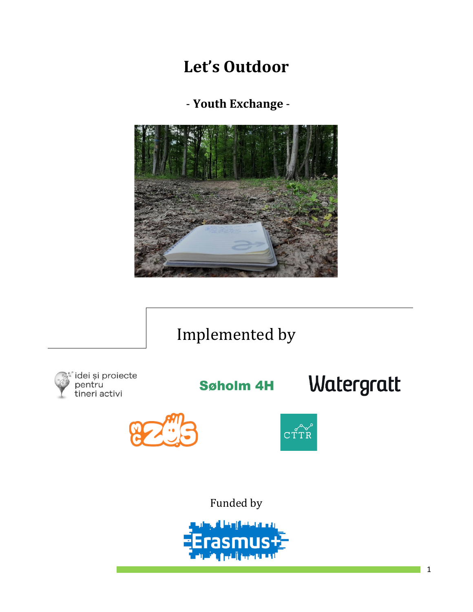# **Let's Outdoor**

- **Youth Exchange** -



# Implemented by



**Søholm 4H** 







Funded by

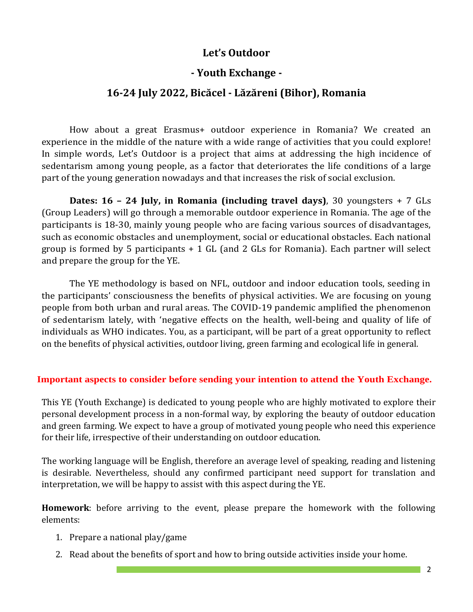# **Let's Outdoor**

# **- Youth Exchange -**

# **16-24 July 2022, Bicăcel - Lăzăreni (Bihor), Romania**

How about a great Erasmus+ outdoor experience in Romania? We created an experience in the middle of the nature with a wide range of activities that you could explore! In simple words, Let's Outdoor is a project that aims at addressing the high incidence of sedentarism among young people, as a factor that deteriorates the life conditions of a large part of the young generation nowadays and that increases the risk of social exclusion.

**Dates: 16 – 24 July, in Romania (including travel days)**, 30 youngsters + 7 GLs (Group Leaders) will go through a memorable outdoor experience in Romania. The age of the participants is 18-30, mainly young people who are facing various sources of disadvantages, such as economic obstacles and unemployment, social or educational obstacles. Each national group is formed by 5 participants + 1 GL (and 2 GLs for Romania). Each partner will select and prepare the group for the YE.

The YE methodology is based on NFL, outdoor and indoor education tools, seeding in the participants' consciousness the benefits of physical activities. We are focusing on young people from both urban and rural areas. The COVID-19 pandemic amplified the phenomenon of sedentarism lately, with 'negative effects on the health, well-being and quality of life of individuals as WHO indicates. You, as a participant, will be part of a great opportunity to reflect on the benefits of physical activities, outdoor living, green farming and ecological life in general.

#### **Important aspects to consider before sending your intention to attend the Youth Exchange.**

This YE (Youth Exchange) is dedicated to young people who are highly motivated to explore their personal development process in a non-formal way, by exploring the beauty of outdoor education and green farming. We expect to have a group of motivated young people who need this experience for their life, irrespective of their understanding on outdoor education.

The working language will be English, therefore an average level of speaking, reading and listening is desirable. Nevertheless, should any confirmed participant need support for translation and interpretation, we will be happy to assist with this aspect during the YE.

**Homework**: before arriving to the event, please prepare the homework with the following elements:

- 1. Prepare a national play/game
- 2. Read about the benefits of sport and how to bring outside activities inside your home.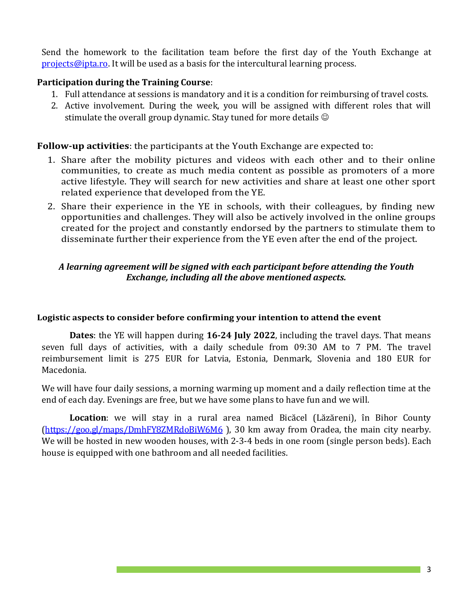Send the homework to the facilitation team before the first day of the Youth Exchange at [projects@ipta.ro.](mailto:projects@ipta.ro) It will be used as a basis for the intercultural learning process.

#### **Participation during the Training Course**:

- 1. Full attendance at sessions is mandatory and it is a condition for reimbursing of travel costs.
- 2. Active involvement. During the week, you will be assigned with different roles that will stimulate the overall group dynamic. Stay tuned for more details  $\odot$

#### **Follow-up activities**: the participants at the Youth Exchange are expected to:

- 1. Share after the mobility pictures and videos with each other and to their online communities, to create as much media content as possible as promoters of a more active lifestyle. They will search for new activities and share at least one other sport related experience that developed from the YE.
- 2. Share their experience in the YE in schools, with their colleagues, by finding new opportunities and challenges. They will also be actively involved in the online groups created for the project and constantly endorsed by the partners to stimulate them to disseminate further their experience from the YE even after the end of the project.

### *A learning agreement will be signed with each participant before attending the Youth Exchange, including all the above mentioned aspects.*

#### **Logistic aspects to consider before confirming your intention to attend the event**

**Dates**: the YE will happen during **16-24 July 2022**, including the travel days. That means seven full days of activities, with a daily schedule from 09:30 AM to 7 PM. The travel reimbursement limit is 275 EUR for Latvia, Estonia, Denmark, Slovenia and 180 EUR for Macedonia.

We will have four daily sessions, a morning warming up moment and a daily reflection time at the end of each day. Evenings are free, but we have some plans to have fun and we will.

**Location**: we will stay in a rural area named Bicăcel (Lăzăreni), în Bihor County [\(https://goo.gl/maps/DmhFY8ZMRdoBiW6M6](https://goo.gl/maps/DmhFY8ZMRdoBiW6M6) ), 30 km away from Oradea, the main city nearby. We will be hosted in new wooden houses, with 2-3-4 beds in one room (single person beds). Each house is equipped with one bathroom and all needed facilities.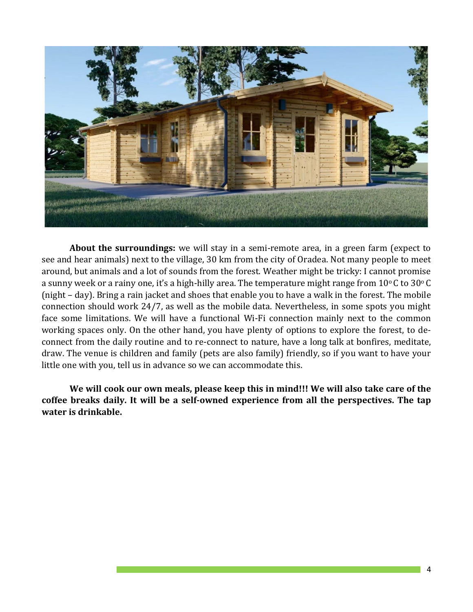

**About the surroundings:** we will stay in a semi-remote area, in a green farm (expect to see and hear animals) next to the village, 30 km from the city of Oradea. Not many people to meet around, but animals and a lot of sounds from the forest. Weather might be tricky: I cannot promise a sunny week or a rainy one, it's a high-hilly area. The temperature might range from 10°C to 30°C (night – day). Bring a rain jacket and shoes that enable you to have a walk in the forest. The mobile connection should work 24/7, as well as the mobile data. Nevertheless, in some spots you might face some limitations. We will have a functional Wi-Fi connection mainly next to the common working spaces only. On the other hand, you have plenty of options to explore the forest, to deconnect from the daily routine and to re-connect to nature, have a long talk at bonfires, meditate, draw. The venue is children and family (pets are also family) friendly, so if you want to have your little one with you, tell us in advance so we can accommodate this.

**We will cook our own meals, please keep this in mind!!! We will also take care of the coffee breaks daily. It will be a self-owned experience from all the perspectives. The tap water is drinkable.**